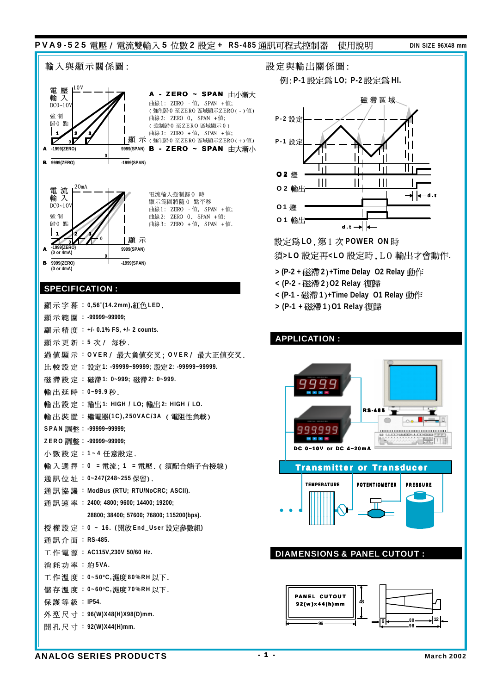## PVA9-525 電壓 / 電流雙輸入 5 位數 2 設定 + RS-485 通訊可程式控制器 使用說明 DIN SIZE 96X48 mm



設定與輸出關係圖:

 $\mathfrak{M}$ : P-1 設定爲 LO; P-2 設定爲 HI.



設定為LO,第1次POWER ON 時

須>LO 設定再<LO 設定時, LO 輸出才會動作.

- **> (P-2 + 2 +Time Delay O2 Relay**
- **< (P-2 - 2 O2 Relay**
- **< (P-1 - 1 +Time Delay O1 Relay**
- **> (P-1 + 1 O1 Relay**

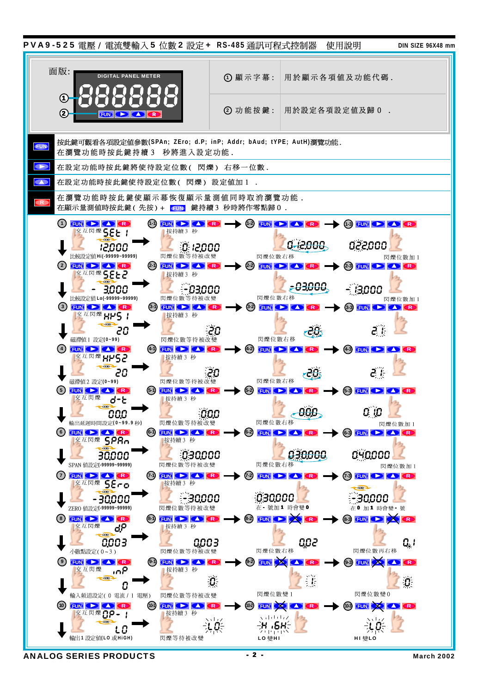

ANALOG SERIES PRODUCTS 42 - 2 - March 2002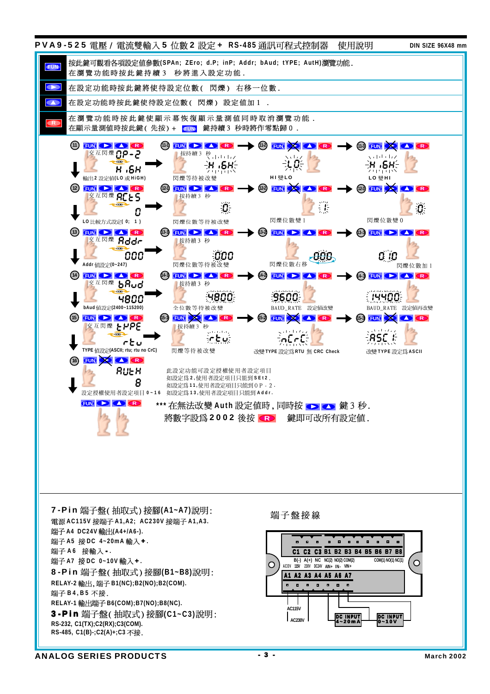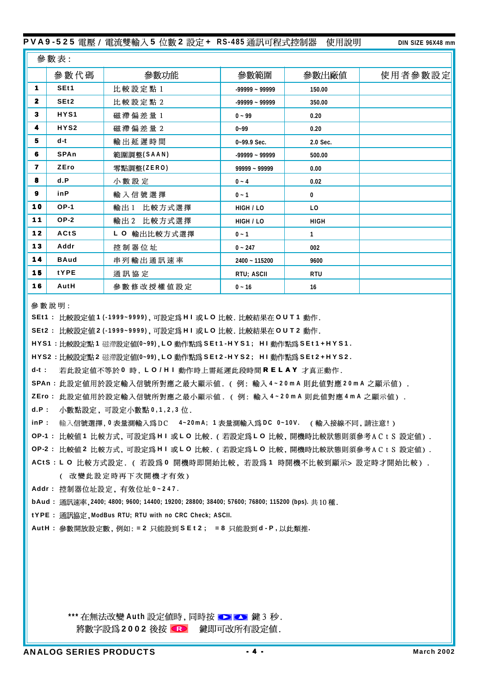## PVA9-525 電壓 / 電流雙輸入5 位數 2 設定 + RS-485 通訊可程式控制器 使用說明

DIN SIZE 96X48 mm

|              | 參數表:        |              |                  |                |         |
|--------------|-------------|--------------|------------------|----------------|---------|
|              | 參數代碼        | 參數功能         | 參數範圍             | 參數出廠值          | 使用者參數設定 |
| 1            | SEt1        | 比較設定點 1      | $-99999 - 99999$ | 150.00         |         |
| $\mathbf{2}$ | SEt2        | 比較設定點 2      | $-99999 - 99999$ | 350.00         |         |
| 3            | HYS1        | 磁滯偏差量 1      | $0 - 99$         | 0.20           |         |
| 4            | HYS2        | 磁滯偏差量 2      | $0 - 99$         | 0.20           |         |
| 5            | d-t         | 輸出延遲時間       | $0 - 99.9$ Sec.  | 2.0 Sec.       |         |
| 6            | <b>SPAn</b> | 範圍調整(SAAN)   | $-99999 - 99999$ | 500.00         |         |
| 7            | <b>ZEro</b> | 零點調整(ZERO)   | 99999 ~ 99999    | 0.00           |         |
| 8            | d.P         | 小數設定         | $0 - 4$          | 0.02           |         |
| 9            | inP         | 輸入信號選擇       | $0 - 1$          | 0              |         |
| 10           | <b>OP-1</b> | 輸出1 比較方式選擇   | HIGH / LO        | L <sub>0</sub> |         |
| 11           | <b>OP-2</b> | 輸出2 比較方式選擇   | HIGH / LO        | <b>HIGH</b>    |         |
| $12$         | <b>ACtS</b> | L O 輸出比較方式選擇 | $0 - 1$          | $\mathbf{1}$   |         |
| 13           | <b>Addr</b> | 控制器位址        | $0 - 247$        | 002            |         |
| 14           | <b>BAud</b> | 串列輸出通訊速率     | $2400 - 115200$  | 9600           |         |
| 15           | tYPE        | 通訊協定         | RTU; ASCII       | <b>RTU</b>     |         |
| 16           | AutH        | 參數修改授權值設定    | $0 - 16$         | 16             |         |

參數說明:

SEt1: 比較設定値1(-1999~9999), 可設定為HI或LO 比較. 比較結果在OUT1 動作.

SEt2: 比較設定値2(-1999~9999),可設定為HI或LO比較,比較結果在OUT2動作.

HYS1 : 比較設定點 1 磁滯設定値(0~99), LO 動作點爲 SEt 1 - HYS1; HI 動作點爲 SEt 1 + HYS1.

HYS2 : 比較設定點 2 磁滯設定値(0~99)、LO 動作點爲 SEt2-HYS2; HI 動作點爲 SEt2+HYS2.

 $d-t$ : 若此設定値不等於0時,LO/HI動作時上需延遲此段時間RELAY才真正動作.

SPAn: 此設定値用於設定輸入信號所對應之最大顯示值. (例:輸入4-20mA則此値對應20mA 之顯示値).

ZEro: 此設定値用於設定輸入信號所對應之最小顯示值. (例: 輸入 4~20mA 則此値對應 4mA 之顯示値).

d.P: 小數點設定,可設定小數點 0,1,2,3 位.

inP: 輸入信號選擇,0表量測輸入爲DC 4~20mA; 1表量測輸入爲DC 0~10V. (輸入接線不同,請注意!)

OP-1: 比較值1 比較方式, 可設定爲HI或LO 比較. (若設定爲LO 比較, 開機時比較狀態則須參考ACtS 設定値).

OP-2: 比較值2 比較方式,可設定為HI或LO 比較. (若設定為LO 比較,開機時比較狀態則須參考ACtS設定值).

ACtS : L O 比較方式設定. (若設爲 0 開機時即開始比較,若設爲 1 時開機不比較到顯示> 設定時才開始比較).

( 改變此設定時再下次開機才有效)

Addr: 控制器位址設定, 有效位址 0-247.

bAud: 涌訊涑率, 2400; 4800; 9600; 14400; 19200; 28800; 38400; 57600; 76800; 115200 (bps). 共10種,

tYPE: 通訊協定, ModBus RTU; RTU with no CRC Check; ASCII.

AutH: 參數開放設定數, 例如: = 2 只能設到 S E t 2; = 8 只能設到 d - P, 以此類推.

\*\*\* 在無法改變 Auth 設定値時, 同時按 ● ● 鍵 3 秒. 將數字設爲 2002 後按 <>> 鍵即可改所有設定値.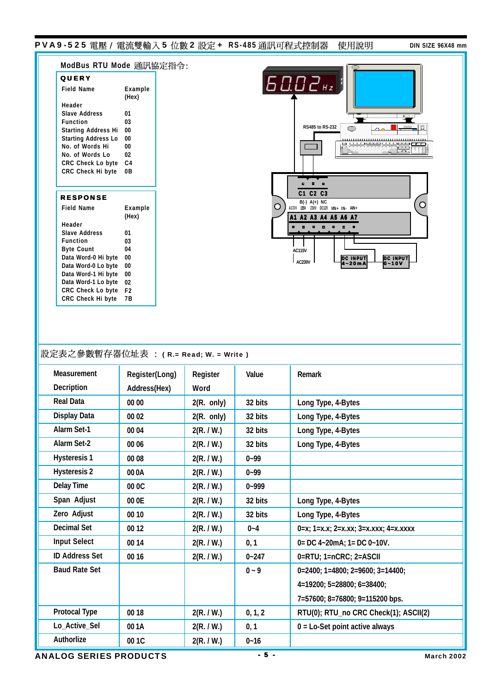## PVA9-525 電壓 / 電流雙輸入 5 位數 2 設定 + RS-485 通訊可程式控制器 使用說明 DIN SIZE 96X48 mm

| <b>QUERY</b><br><b>Field Name</b><br>Header<br><b>Slave Address</b><br><b>Function</b><br><b>Starting Address Hi</b><br><b>Starting Address Lo</b><br>No. of Words Hi<br>No. of Words Lo<br>CRC Check Lo byte<br>CRC Check Hi byte                   | Example<br>(Hex)<br>01<br>03<br>00<br>00<br>00<br>02<br>C4<br>0B       |                      |           | [6002]<br>RS485 to RS-232<br>,,,,,,,,,,,,,,,,,,,,,,,,,,,,,,,,,,,<br><del>ANGUNYA ITI</del><br>$\mathcal{X}$<br>$\blacksquare$<br>$\blacksquare$                                                                       |
|------------------------------------------------------------------------------------------------------------------------------------------------------------------------------------------------------------------------------------------------------|------------------------------------------------------------------------|----------------------|-----------|-----------------------------------------------------------------------------------------------------------------------------------------------------------------------------------------------------------------------|
| <b>RESPONSE</b><br><b>Field Name</b><br>Header<br><b>Slave Address</b><br><b>Function</b><br><b>Byte Count</b><br>Data Word-0 Hi byte<br>Data Word-0 Lo byte<br>Data Word-1 Hi byte<br>Data Word-1 Lo byte<br>CRC Check Lo byte<br>CRC Check Hi byte | Example<br>(Hex)<br>01<br>03<br>04<br>00<br>00<br>00<br>02<br>F2<br>7B |                      | O         | C1 C2 C3<br>$B(-) A(+) NC$<br>$\circ$<br>115V 230V DC12V VIN+ IN- AIN+<br>ACOV<br>A1 A2 A3 A4 A5 A6 A7<br>.<br>$\mathbf{a}$ $\mathbf{a}$<br><b>AC115V</b><br>DC INPUT<br>4~20mA<br>DC INPUT<br>0~10V<br><b>AC230V</b> |
|                                                                                                                                                                                                                                                      |                                                                        |                      |           |                                                                                                                                                                                                                       |
|                                                                                                                                                                                                                                                      | 設定表之參數暫存器位址表 : ( R.= Read; W. = Write )                                |                      |           |                                                                                                                                                                                                                       |
| Measurement                                                                                                                                                                                                                                          | Register(Long)                                                         | Register             | Value     | Remark                                                                                                                                                                                                                |
| Decription                                                                                                                                                                                                                                           | Address(Hex)                                                           | Word                 |           |                                                                                                                                                                                                                       |
| <b>Real Data</b>                                                                                                                                                                                                                                     | 00 00                                                                  | $2(R. \text{ only})$ | 32 bits   | Long Type, 4-Bytes                                                                                                                                                                                                    |
| Display Data                                                                                                                                                                                                                                         | 00 02                                                                  |                      | 32 bits   | Long Type, 4-Bytes                                                                                                                                                                                                    |
| Alarm Set-1                                                                                                                                                                                                                                          |                                                                        | $2(R. \text{ only})$ |           |                                                                                                                                                                                                                       |
|                                                                                                                                                                                                                                                      | 00 04                                                                  | 2(R. / W.)           | 32 bits   | Long Type, 4-Bytes                                                                                                                                                                                                    |
| Alarm Set-2                                                                                                                                                                                                                                          | 00 06                                                                  | 2(R. / W.)           | 32 bits   | Long Type, 4-Bytes                                                                                                                                                                                                    |
| <b>Hysteresis 1</b>                                                                                                                                                                                                                                  | 00 08                                                                  | 2(R. / W.)           | $0 - 99$  |                                                                                                                                                                                                                       |
| <b>Hysteresis 2</b>                                                                                                                                                                                                                                  | 000A                                                                   | 2(R. / W.)           | $0 - 99$  |                                                                                                                                                                                                                       |
| <b>Delay Time</b>                                                                                                                                                                                                                                    | 00 OC                                                                  | 2(R. / W.)           | $0 - 999$ |                                                                                                                                                                                                                       |
| Span Adjust                                                                                                                                                                                                                                          | 00 0E                                                                  | 2(R. / W.)           | 32 bits   | Long Type, 4-Bytes                                                                                                                                                                                                    |
| Zero Adjust                                                                                                                                                                                                                                          | 00 10                                                                  | 2(R. / W.)           | 32 bits   | Long Type, 4-Bytes                                                                                                                                                                                                    |
| <b>Decimal Set</b>                                                                                                                                                                                                                                   | 00 12                                                                  | 2(R. / W.)           | $0 - 4$   | $0=x$ ; $1=x.x$ ; $2=x.xx$ ; $3=x.xxx$ ; $4=x.xxxx$                                                                                                                                                                   |
| <b>Input Select</b>                                                                                                                                                                                                                                  | 00 14                                                                  | 2(R. / W.)           | 0, 1      | $0 = DC$ 4~20mA; 1= DC 0~10V.                                                                                                                                                                                         |
| <b>ID Address Set</b>                                                                                                                                                                                                                                | 00 16                                                                  | 2(R. / W.)           | $0 - 247$ | 0=RTU; 1=nCRC; 2=ASCII                                                                                                                                                                                                |
| <b>Baud Rate Set</b>                                                                                                                                                                                                                                 |                                                                        |                      | $0 - 9$   | $0=2400$ ; 1=4800; 2=9600; 3=14400;                                                                                                                                                                                   |
|                                                                                                                                                                                                                                                      |                                                                        |                      |           | 4=19200; 5=28800; 6=38400;                                                                                                                                                                                            |
|                                                                                                                                                                                                                                                      |                                                                        |                      |           | 7=57600; 8=76800; 9=115200 bps.                                                                                                                                                                                       |
| Protocal Type                                                                                                                                                                                                                                        | 00 18                                                                  | 2(R. / W.)           | 0, 1, 2   | RTU(0); RTU_no CRC Check(1); ASCII(2)                                                                                                                                                                                 |
| Lo_Active_Sel<br>Authorlize                                                                                                                                                                                                                          | 001A                                                                   | 2(R. / W.)           | 0, 1      | $0 =$ Lo-Set point active always                                                                                                                                                                                      |